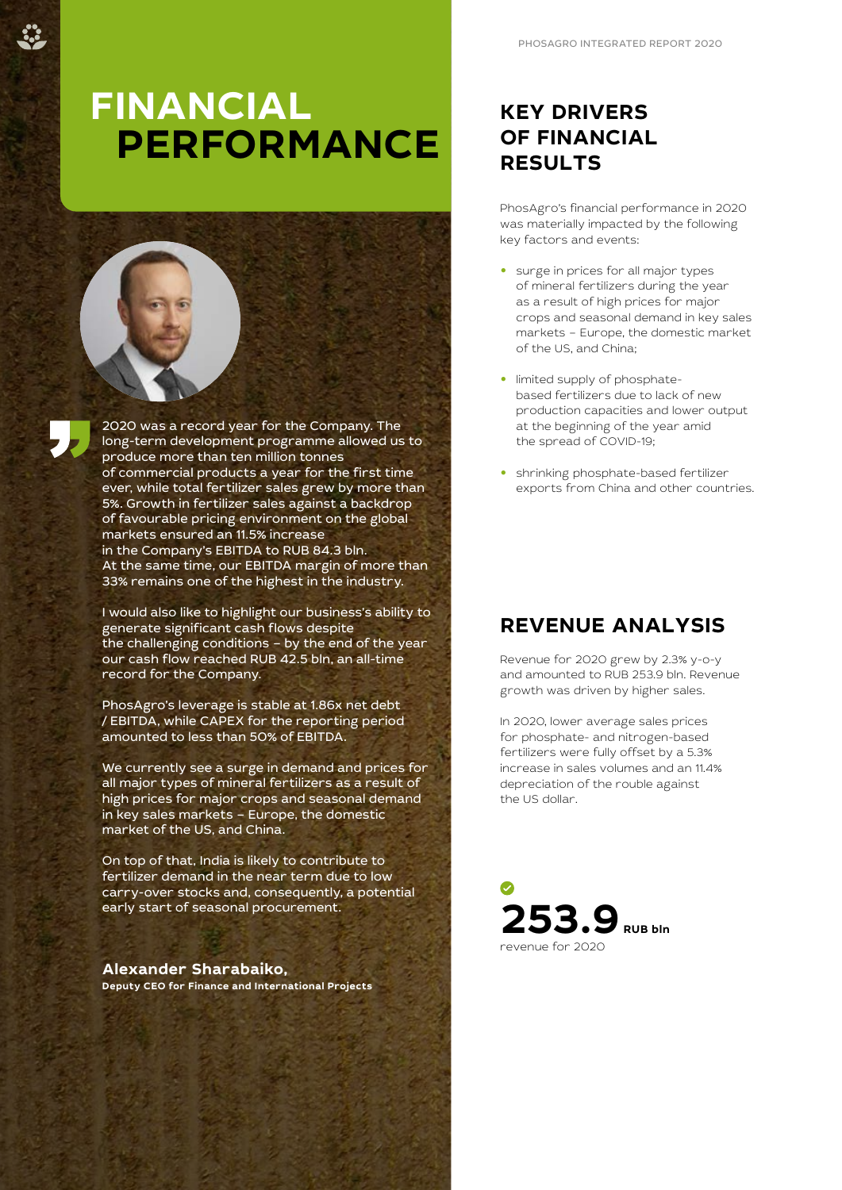# **FINANCIAL PERFORMANCE**



I would also like to highlight our business's ability to generate significant cash flows despite the challenging conditions – by the end of the year our cash flow reached RUB 42.5 bln, an all-time record for the Company.

PhosAgro's leverage is stable at 1.86x net debt / EBITDA, while CAPEX for the reporting period amounted to less than 50% of EBITDA.

We currently see a surge in demand and prices for all major types of mineral fertilizers as a result of high prices for major crops and seasonal demand in key sales markets – Europe, the domestic market of the US, and China.

On top of that, India is likely to contribute to fertilizer demand in the near term due to low carry-over stocks and, consequently, a potential early start of seasonal procurement.

**Alexander Sharabaiko, Deputy CEO for Finance and International Projects**

# **KEY DRIVERS OF FINANCIAL RESULTS**

PhosAgro's financial performance in 2020 was materially impacted by the following key factors and events:

- **•** surge in prices for all major types of mineral fertilizers during the year as a result of high prices for major crops and seasonal demand in key sales markets – Europe, the domestic market of the US, and China;
- **•** limited supply of phosphatebased fertilizers due to lack of new production capacities and lower output at the beginning of the year amid the spread of COVID-19;
- **•** shrinking phosphate-based fertilizer exports from China and other countries.

# **REVENUE ANALYSIS**

Revenue for 2020 grew by 2.3% y-o-y and amounted to RUB 253.9 bln. Revenue growth was driven by higher sales.

In 2020, lower average sales prices for phosphate- and nitrogen-based fertilizers were fully offset by a 5.3% increase in sales volumes and an 11.4% depreciation of the rouble against the US dollar.

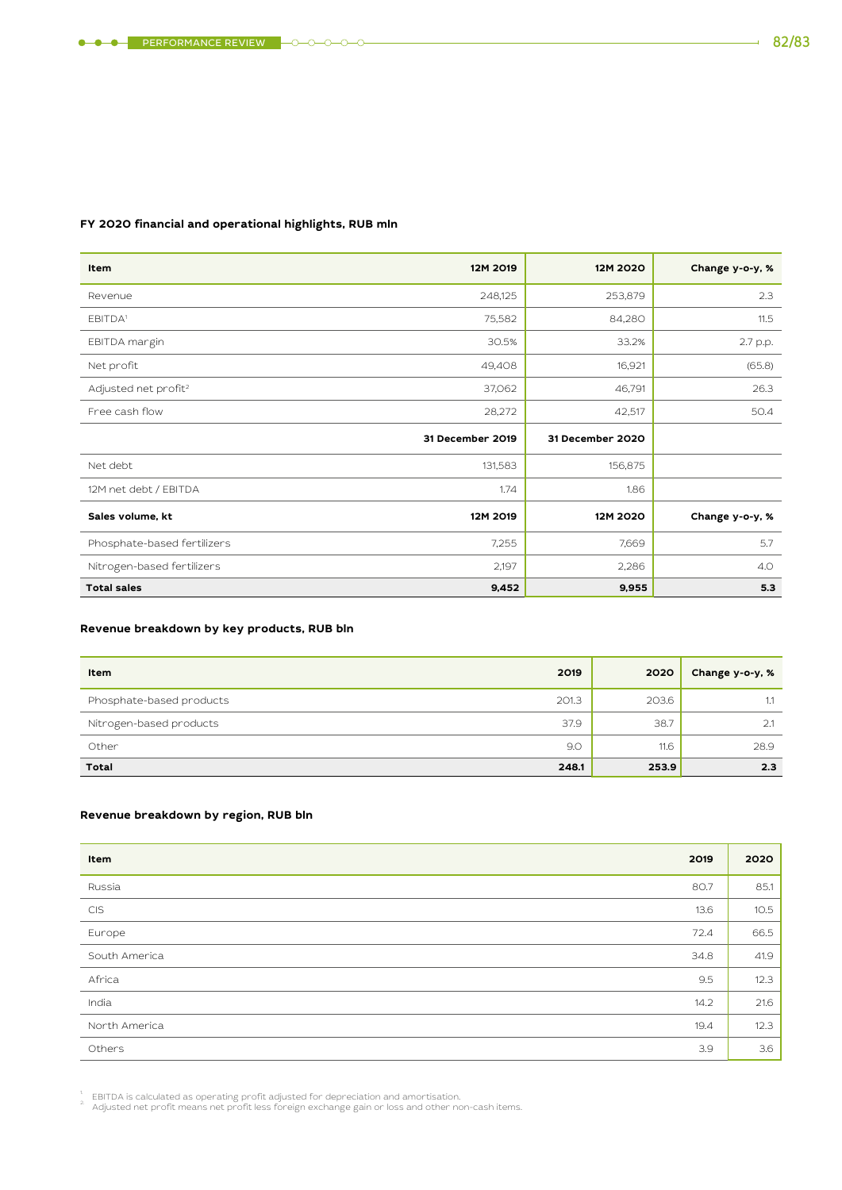### **FY 2020 financial and operational highlights, RUB mln**

| Item                             | 12M 2019         | 12M 2020         | Change y-o-y, % |
|----------------------------------|------------------|------------------|-----------------|
| Revenue                          | 248,125          | 253,879          | 2.3             |
| EBITDA <sup>1</sup>              | 75,582           | 84,280           | 11.5            |
| EBITDA margin                    | 30.5%            | 33.2%            | 2.7 p.p.        |
| Net profit                       | 49,408           | 16,921           | (65.8)          |
| Adjusted net profit <sup>2</sup> | 37,062           | 46,791           | 26.3            |
| Free cash flow                   | 28,272           | 42,517           | 50.4            |
|                                  | 31 December 2019 | 31 December 2020 |                 |
| Net debt                         | 131,583          | 156,875          |                 |
| 12M net debt / EBITDA            | 1.74             | 1.86             |                 |
| Sales volume, kt                 | 12M 2019         | 12M 2020         | Change y-o-y, % |
| Phosphate-based fertilizers      | 7,255            | 7,669            | 5.7             |
| Nitrogen-based fertilizers       | 2,197            | 2,286            | 4.0             |
| <b>Total sales</b>               | 9,452            | 9,955            | 5.3             |

### **Revenue breakdown by key products, RUB bln**

| Item                     | 2019  | 2020  | Change y-o-y, % |
|--------------------------|-------|-------|-----------------|
| Phosphate-based products | 201.3 | 203.6 | 1.1             |
| Nitrogen-based products  | 37.9  | 38.7  | 2.1             |
| Other                    | 9.0   | 11.6  | 28.9            |
| <b>Total</b>             | 248.1 | 253.9 | 2.3             |

### **Revenue breakdown by region, RUB bln**

| 2019<br>Item          | 2020 |
|-----------------------|------|
| Russia<br>80.7        | 85.1 |
| CIS<br>13.6           | 10.5 |
| 72.4<br>Europe        | 66.5 |
| South America<br>34.8 | 41.9 |
| Africa<br>9.5         | 12.3 |
| India<br>14.2         | 21.6 |
| North America<br>19.4 | 12.3 |
| 3.9<br>Others         | 3.6  |

<sup>1</sup>. EBITDA is calculated as operating profit adjusted for depreciation and amortisation.<br><sup>2.</sup> Adjusted net profit means net profit less foreign exchange gain or loss and other non-cash items.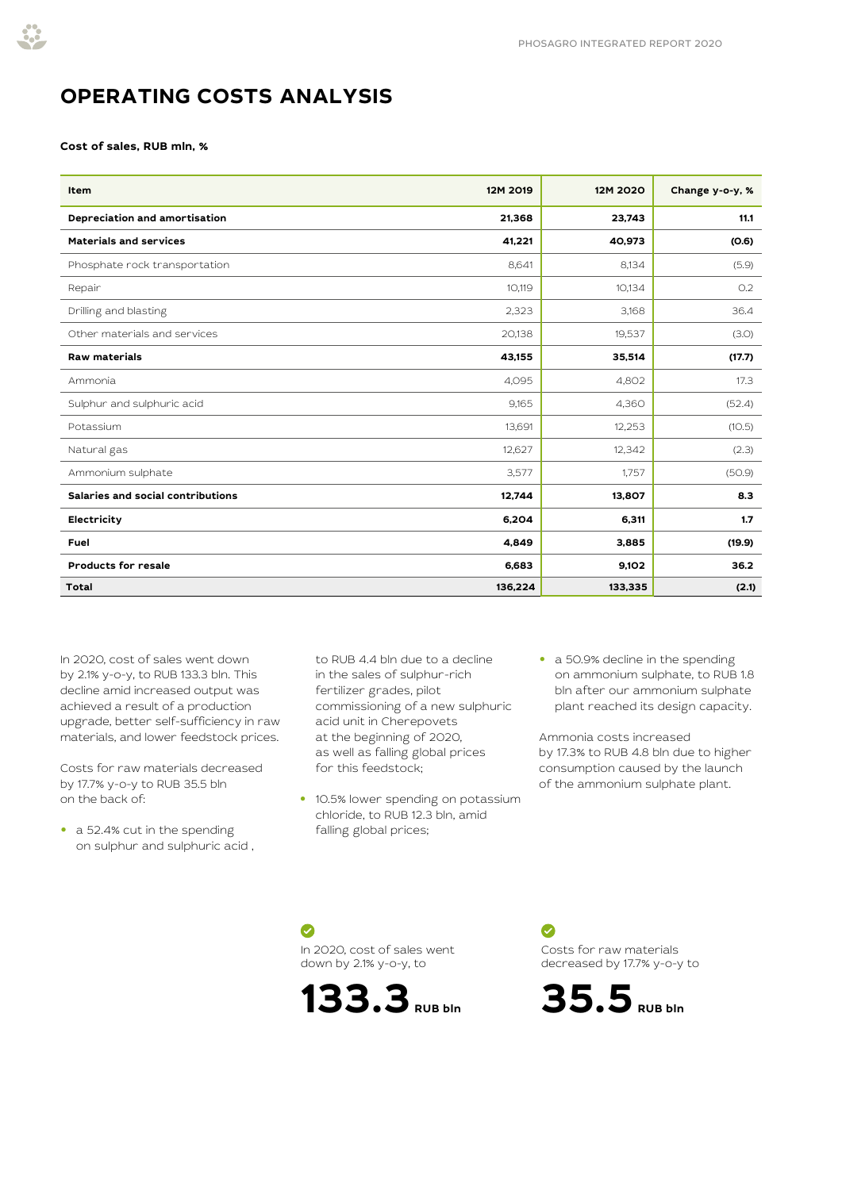

# **OPERATING COSTS ANALYSIS**

#### **Cost of sales, RUB mln, %**

| Item                              | 12M 2019 | 12M 2020 | Change y-o-y, % |
|-----------------------------------|----------|----------|-----------------|
| Depreciation and amortisation     | 21,368   | 23,743   | 11.1            |
| <b>Materials and services</b>     | 41,221   | 40,973   | (0.6)           |
| Phosphate rock transportation     | 8,641    | 8,134    | (5.9)           |
| Repair                            | 10,119   | 10,134   | O.2             |
| Drilling and blasting             | 2,323    | 3,168    | 36.4            |
| Other materials and services      | 20,138   | 19,537   | (3.0)           |
| <b>Raw materials</b>              | 43,155   | 35,514   | (17.7)          |
| Ammonia                           | 4,095    | 4,802    | 17.3            |
| Sulphur and sulphuric acid        | 9,165    | 4,360    | (52.4)          |
| Potassium                         | 13,691   | 12,253   | (10.5)          |
| Natural gas                       | 12,627   | 12,342   | (2.3)           |
| Ammonium sulphate                 | 3,577    | 1,757    | (50.9)          |
| Salaries and social contributions | 12,744   | 13,807   | 8.3             |
| Electricity                       | 6,204    | 6,311    | 1.7             |
| Fuel                              | 4,849    | 3,885    | (19.9)          |
| <b>Products for resale</b>        | 6,683    | 9,102    | 36.2            |
| <b>Total</b>                      | 136,224  | 133,335  | (2.1)           |

In 2020, cost of sales went down by 2.1% y-o-y, to RUB 133.3 bln. This decline amid increased output was achieved a result of a production upgrade, better self-sufficiency in raw materials, and lower feedstock prices.

Costs for raw materials decreased by 17.7% y-o-y to RUB 35.5 bln on the back of:

**•** a 52.4% cut in the spending on sulphur and sulphuric acid , to RUB 4.4 bln due to a decline in the sales of sulphur-rich fertilizer grades, pilot commissioning of a new sulphuric acid unit in Cherepovets at the beginning of 2020, as well as falling global prices for this feedstock;

- **•** 10.5% lower spending on potassium chloride, to RUB 12.3 bln, amid falling global prices;
- **•** a 50.9% decline in the spending on ammonium sulphate, to RUB 1.8 bln after our ammonium sulphate plant reached its design capacity.

Ammonia costs increased by 17.3% to RUB 4.8 bln due to higher consumption caused by the launch of the ammonium sulphate plant.

Ø In 2020, cost of sales went down by 2.1% y-o-y, to



 $\bullet$ Costs for raw materials decreased by 17.7% y-o-y to

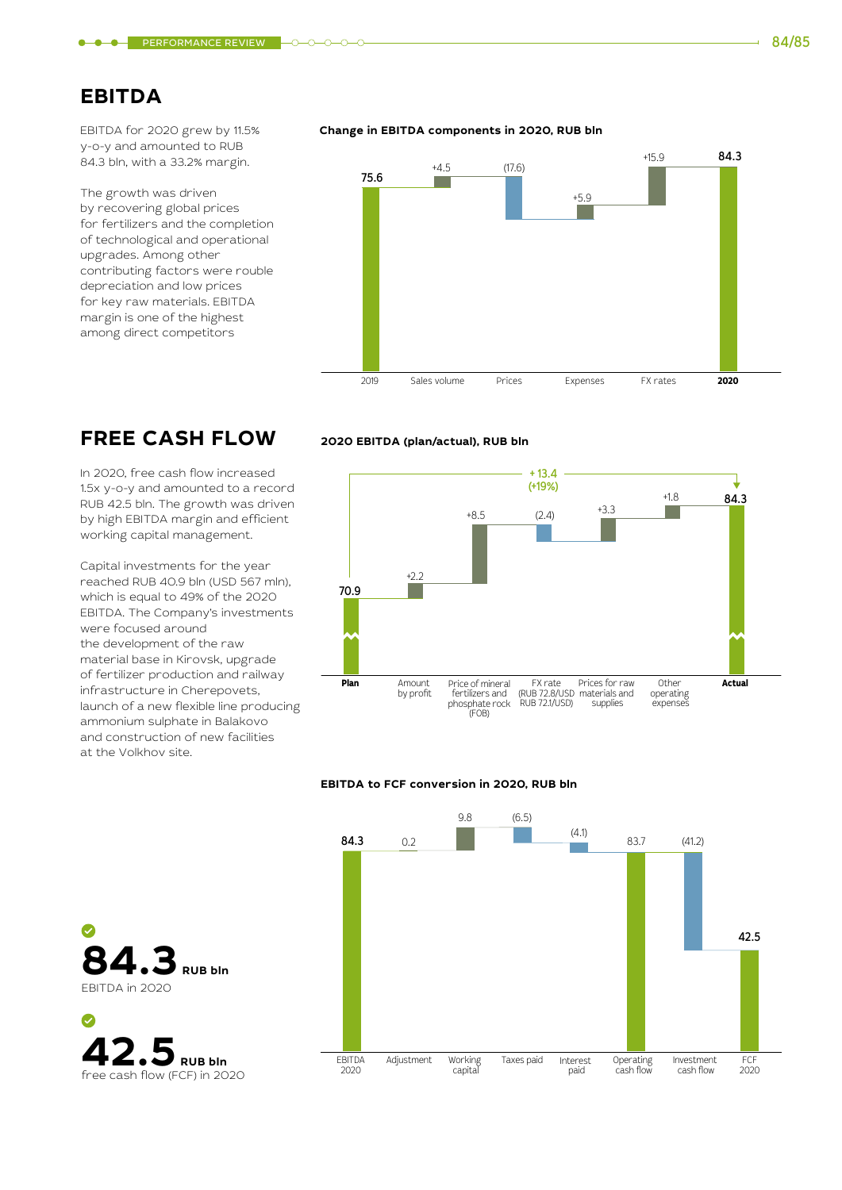### **EBITDA**

EBITDA for 2020 grew by 11.5% y-o-y and amounted to RUB 84.3 bln, with a 33.2% margin.

The growth was driven by recovering global prices for fertilizers and the completion of technological and operational upgrades. Among other contributing factors were rouble depreciation and low prices for key raw materials. EBITDA margin is one of the highest among direct competitors

#### **Change in EBITDA components in 2020, RUB bln**



# **FREE CASH FLOW**

In 2020, free cash flow increased 1.5x y-o-y and amounted to a record RUB 42.5 bln. The growth was driven by high EBITDA margin and efficient working capital management.

Capital investments for the year reached RUB 40.9 bln (USD 567 mln), which is equal to 49% of the 2020 EBITDA. The Company's investments were focused around the development of the raw material base in Kirovsk, upgrade of fertilizer production and railway infrastructure in Cherepovets, launch of a new flexible line producing ammonium sulphate in Balakovo and construction of new facilities at the Volkhov site.

## $+8.5$  (2.4)  $+3.3$ + 13.4 (+19%)

**2020 EBITDA (plan/actual), RUB bln**



#### **EBITDA to FCF conversion in 2020, RUB bln**



**84.3 RUB bln** EBITDA in 2020

**42.5** RUB bln<br>free cash flow (FCF) in 2020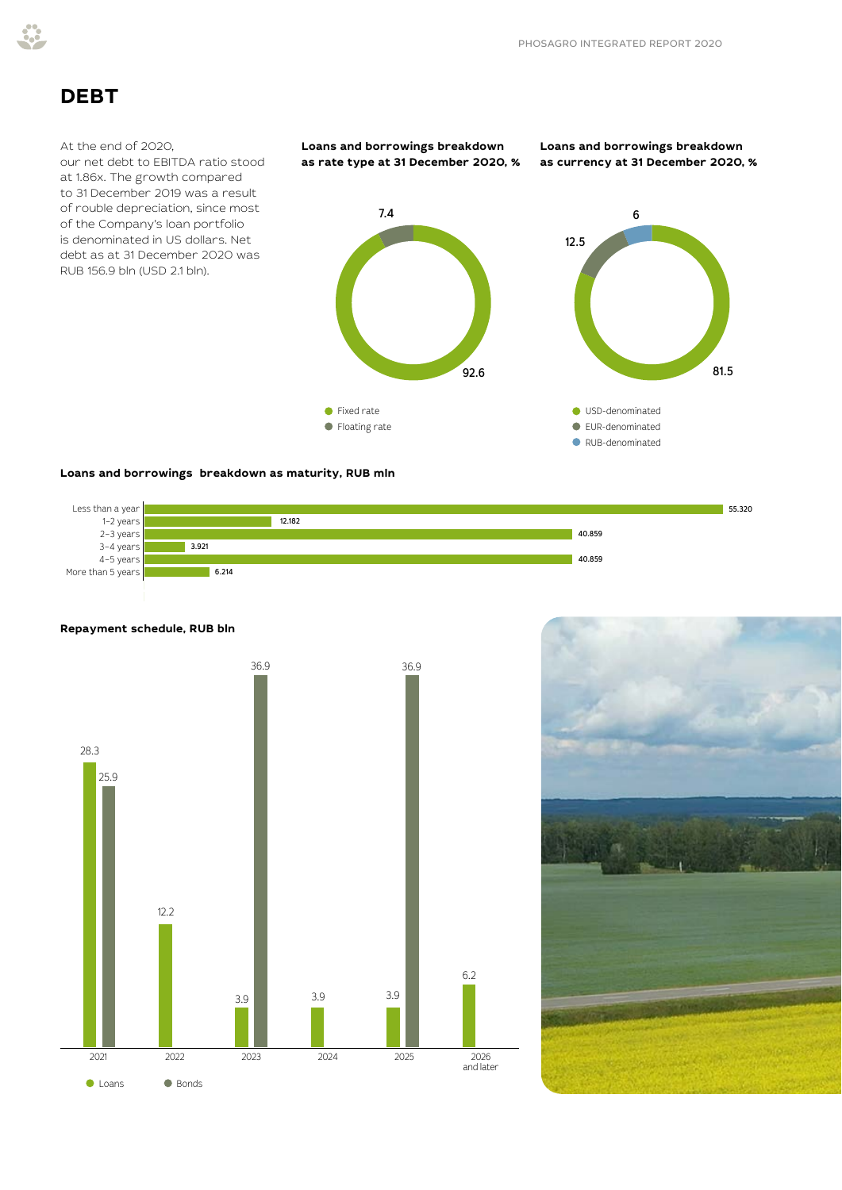

## **DEBT**

#### At the end of 2020,

our net debt to EBITDA ratio stood at 1.86x. The growth compared to 31 December 2019 was a result of rouble depreciation, since most of the Company's loan portfolio is denominated in US dollars. Net debt as at 31 December 2020 was RUB 156.9 bln (USD 2.1 bln).



**Loans and borrowings breakdown as currency at 31 December 2020, %**

6

81.5



### **Loans and borrowings breakdown as maturity, RUB mln**







### **Repayment schedule, RUB bln**